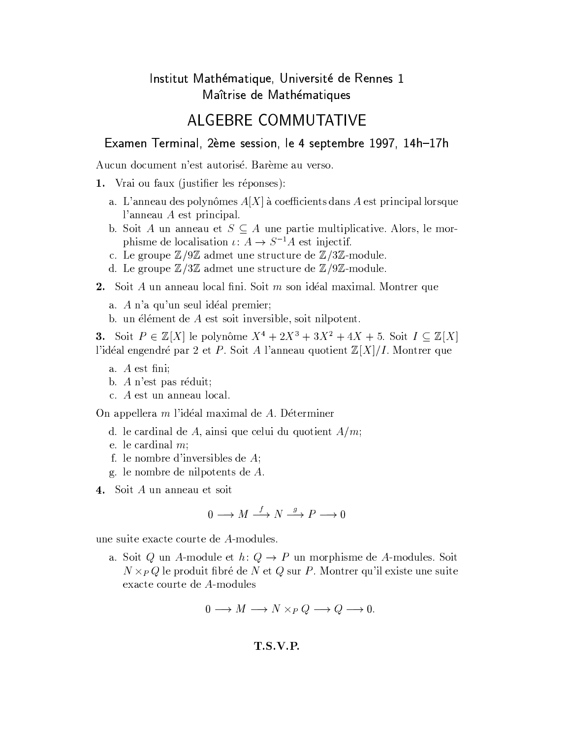## Institut Mathématique, Université de Rennes 1 Maîtrise de Mathématiques

## **ALGEBRE COMMUTATIVE**

## Examen Terminal, 2ème session, le 4 septembre 1997, 14h-17h

Aucun document n'est autorisé. Barème au verso.

- 1. Vrai ou faux (justifier les réponses):
	- a. L'anneau des polynômes  $A[X]$  à coefficients dans A est principal lorsque l'anneau  $A$  est principal.
	- b. Soit A un anneau et  $S \subseteq A$  une partie multiplicative. Alors, le morphisme de localisation  $\iota: A \to S^{-1}A$  est injectif.
	- c. Le groupe  $\mathbb{Z}/9\mathbb{Z}$  admet une structure de  $\mathbb{Z}/3\mathbb{Z}$ -module.
	- d. Le groupe  $\mathbb{Z}/3\mathbb{Z}$  admet une structure de  $\mathbb{Z}/9\mathbb{Z}$ -module.
- 2. Soit  $A$  un anneau local fini. Soit  $m$  son idéal maximal. Montrer que
	- a. A n'a qu'un seul idéal premier;
	- b. un élément de A est soit inversible, soit nilpotent.

**3.** Soit  $P \in \mathbb{Z}[X]$  le polynôme  $X^4 + 2X^3 + 3X^2 + 4X + 5$ . Soit  $I \subseteq \mathbb{Z}[X]$ l'idéal engendré par 2 et P. Soit A l'anneau quotient  $\mathbb{Z}[X]/I$ . Montrer que

- a.  $A$  est fini:
- b. A n'est pas réduit;
- c. A est un anneau local.

On appellera m l'idéal maximal de A. Déterminer

- d. le cardinal de A, ainsi que celui du quotient  $A/m$ ;
- e. le cardinal  $m$ ;
- f. le nombre d'inversibles de  $A$ ;
- g. le nombre de nilpotents de  $A$ .
- 4. Soit A un anneau et soit

$$
0 \longrightarrow M \stackrel{f}{\longrightarrow} N \stackrel{g}{\longrightarrow} P \longrightarrow 0
$$

une suite exacte courte de A-modules.

a. Soit Q un A-module et  $h: Q \to P$  un morphisme de A-modules. Soit  $N \times_{P} Q$  le produit fibré de N et Q sur P. Montrer qu'il existe une suite exacte courte de A-modules

$$
0 \longrightarrow M \longrightarrow N \times_P Q \longrightarrow Q \longrightarrow 0.
$$

 $T.S.V.P.$